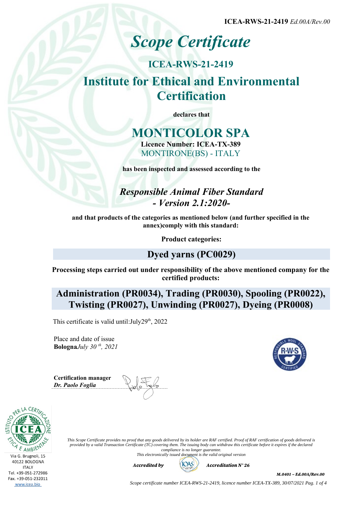**ICEA-RWS-21-2419** *Ed.00A/Rev.00*

# *Scope Certificate*

# **ICEA-RWS-21-2419 Institute for Ethical and Environmental Certification**

**declares that**

# **MONTICOLOR SPA Licence Number: ICEA-TX-389** MONTIRONE(BS) - ITALY

**has been inspected and assessed according to the**

*Responsible Animal Fiber Standard - Version 2.1:2020-*

**and that products of the categories as mentioned below (and further specified in the annex)comply with this standard:**

**Product categories:**

# **Dyed yarns (PC0029)**

**Processing steps carried out under responsibility of the above mentioned company for the certified products:**

**Administration (PR0034), Trading (PR0030), Spooling (PR0022), Twisting (PR0027), Unwinding (PR0027), Dyeing (PR0008)**

This certificate is valid until:  $July29<sup>th</sup>$ , 2022

Place and date of issue **Bologna***July 30 th, 2021*

**Certification manager** *Dr. Paolo Foglia*





*This Scope Certificate provides no proof that any goods delivered by its holder are RAF certified. Proof of RAF certification of goods delivered is provided by a valid Transaction Certificate (TC) covering them. The issuing body can withdraw this certificate before it expires if the declared compliance is no longer guarantee. This electronically issued document is the valid original version*



M.0401 – Ed.00A/Rev.00

*Scope certificate number ICEA-RWS-21-2419, licence number ICEA-TX-389, 30/07/2021 Pag. 1 of 4*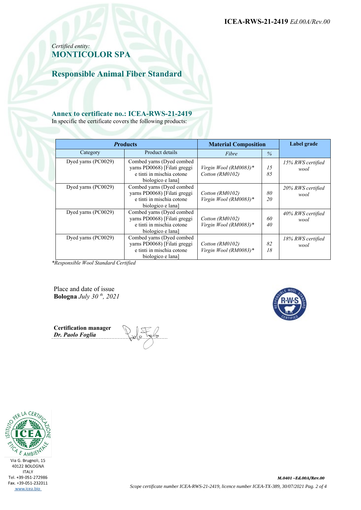**ICEA-RWS-21-2419** *Ed.00A/Rev.00*

### *Certified entity:* **MONTICOLOR SPA**

**Responsible Animal Fiber Standard**

#### **Annex to certificate no.: ICEA-RWS-21-2419**

In specific the certificate covers the following products:

| <b>Products</b>     |                                                                                                             | <b>Material Composition</b>              |          | Label grade               |
|---------------------|-------------------------------------------------------------------------------------------------------------|------------------------------------------|----------|---------------------------|
| Category            | Product details                                                                                             | Fibre                                    | $\%$     |                           |
| Dyed yarns (PC0029) | Combed yarns (Dyed combed<br>yarns PD0068) [Filati greggi<br>e tinti in mischia cotone<br>biologico e lana] | Virgin Wool (RM0083)*<br>Cotton (RM0102) | 15<br>85 | 15% RWS certified<br>wool |
| Dyed yarns (PC0029) | Combed yarns (Dyed combed<br>varns PD0068) [Filati greggi<br>e tinti in mischia cotone<br>biologico e lana] | Cotton (RM0102)<br>Virgin Wool (RM0083)* | 80<br>20 | 20% RWS certified<br>wool |
| Dyed yarns (PC0029) | Combed yarns (Dyed combed<br>yarns PD0068) [Filati greggi<br>e tinti in mischia cotone<br>biologico e lana] | Cotton (RM0102)<br>Virgin Wool (RM0083)* | 60<br>40 | 40% RWS certified<br>wool |
| Dyed yarns (PC0029) | Combed yarns (Dyed combed<br>yarns PD0068) [Filati greggi<br>e tinti in mischia cotone<br>biologico e lana] | Cotton (RM0102)<br>Virgin Wool (RM0083)* | 82<br>18 | 18% RWS certified<br>wool |

*\*Responsible Wool Standard Certified*

Place and date of issue **Bologna** *July 30 th, 2021*



**Certification manager** *Dr. Paolo Foglia*